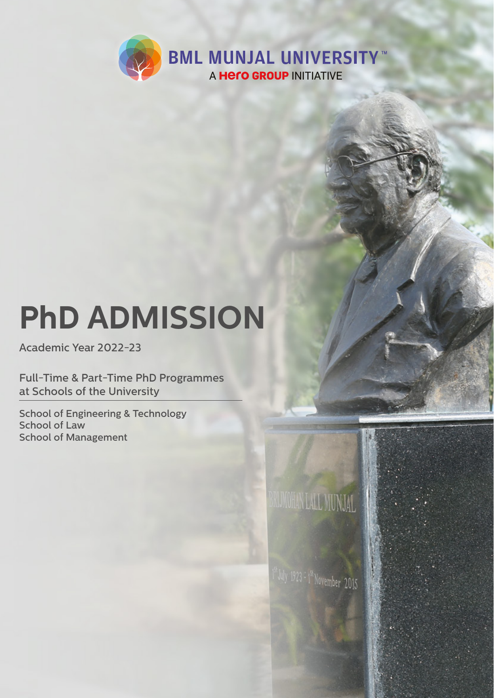

# **PhD ADMISSION**

Academic Year 2022-23

Full-Time & Part-Time PhD Programmes at Schools of the University

School of Engineering & Technology School of Law School of Management



 $1^{\text{st}}$ July 1923 = 1st November 2015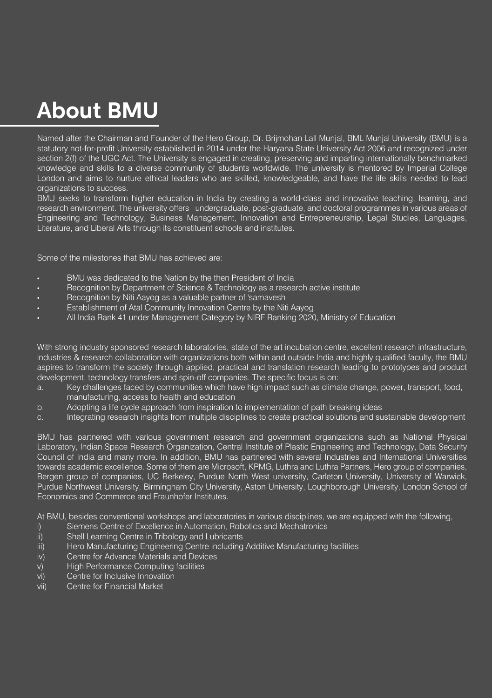## **About BMU**

Named after the Chairman and Founder of the Hero Group, Dr. Brijmohan Lall Munjal, BML Munjal University (BMU) is a statutory not-for-profit University established in 2014 under the Haryana State University Act 2006 and recognized under section 2(f) of the UGC Act. The University is engaged in creating, preserving and imparting internationally benchmarked knowledge and skills to a diverse community of students worldwide. The university is mentored by Imperial College London and aims to nurture ethical leaders who are skilled, knowledgeable, and have the life skills needed to lead organizations to success.

BMU seeks to transform higher education in India by creating a world-class and innovative teaching, learning, and research environment. The university offers undergraduate, post-graduate, and doctoral programmes in various areas of Engineering and Technology, Business Management, Innovation and Entrepreneurship, Legal Studies, Languages, Literature, and Liberal Arts through its constituent schools and institutes.

Some of the milestones that BMU has achieved are:

- BMU was dedicated to the Nation by the then President of India
- Recognition by Department of Science & Technology as a research active institute
- Recognition by Niti Aayog as a valuable partner of 'samavesh'
- Establishment of Atal Community Innovation Centre by the Niti Aayog
- All India Rank 41 under Management Category by NIRF Ranking 2020, Ministry of Education

With strong industry sponsored research laboratories, state of the art incubation centre, excellent research infrastructure, industries & research collaboration with organizations both within and outside India and highly qualified faculty, the BMU aspires to transform the society through applied, practical and translation research leading to prototypes and product development, technology transfers and spin-off companies. The specific focus is on:

- a. Key challenges faced by communities which have high impact such as climate change, power, transport, food, manufacturing, access to health and education
- b. Adopting a life cycle approach from inspiration to implementation of path breaking ideas
- c. Integrating research insights from multiple disciplines to create practical solutions and sustainable development

BMU has partnered with various government research and government organizations such as National Physical Laboratory, Indian Space Research Organization, Central Institute of Plastic Engineering and Technology, Data Security Council of India and many more. In addition, BMU has partnered with several Industries and International Universities towards academic excellence. Some of them are Microsoft, KPMG, Luthra and Luthra Partners, Hero group of companies, Bergen group of companies, UC Berkeley, Purdue North West university, Carleton University, University of Warwick, Purdue Northwest University, Birmingham City University, Aston University, Loughborough University, London School of Economics and Commerce and Fraunhofer Institutes.

At BMU, besides conventional workshops and laboratories in various disciplines, we are equipped with the following,

- i) Siemens Centre of Excellence in Automation, Robotics and Mechatronics
- ii) Shell Learning Centre in Tribology and Lubricants
- iii) Hero Manufacturing Engineering Centre including Additive Manufacturing facilities
- iv) Centre for Advance Materials and Devices
- v) High Performance Computing facilities
- vi) Centre for Inclusive Innovation
- vii) Centre for Financial Market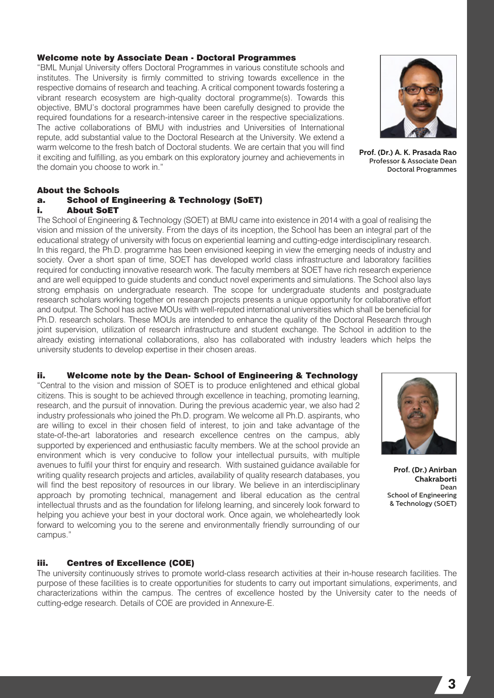#### Welcome note by Associate Dean - Doctoral Programmes

"BML Munjal University offers Doctoral Programmes in various constitute schools and institutes. The University is firmly committed to striving towards excellence in the respective domains of research and teaching. A critical component towards fostering a vibrant research ecosystem are high-quality doctoral programme(s). Towards this objective, BMU's doctoral programmes have been carefully designed to provide the required foundations for a research-intensive career in the respective specializations. The active collaborations of BMU with industries and Universities of International repute, add substantial value to the Doctoral Research at the University. We extend a warm welcome to the fresh batch of Doctoral students. We are certain that you will find it exciting and fulfilling, as you embark on this exploratory journey and achievements in the domain you choose to work in."



**Prof. (Dr.) A. K. Prasada Rao** Professor & Associate Dean Doctoral Programmes

#### About the Schools

#### a. School of Engineering & Technology (SoET) i. About SoET

The School of Engineering & Technology (SOET) at BMU came into existence in 2014 with a goal of realising the vision and mission of the university. From the days of its inception, the School has been an integral part of the educational strategy of university with focus on experiential learning and cutting-edge interdisciplinary research. In this regard, the Ph.D. programme has been envisioned keeping in view the emerging needs of industry and society. Over a short span of time, SOET has developed world class infrastructure and laboratory facilities required for conducting innovative research work. The faculty members at SOET have rich research experience and are well equipped to guide students and conduct novel experiments and simulations. The School also lays strong emphasis on undergraduate research. The scope for undergraduate students and postgraduate research scholars working together on research projects presents a unique opportunity for collaborative effort and output. The School has active MOUs with well-reputed international universities which shall be beneficial for Ph.D. research scholars. These MOUs are intended to enhance the quality of the Doctoral Research through joint supervision, utilization of research infrastructure and student exchange. The School in addition to the already existing international collaborations, also has collaborated with industry leaders which helps the university students to develop expertise in their chosen areas.

#### ii. Welcome note by the Dean- School of Engineering & Technology

"Central to the vision and mission of SOET is to produce enlightened and ethical global citizens. This is sought to be achieved through excellence in teaching, promoting learning, research, and the pursuit of innovation. During the previous academic year, we also had 2 industry professionals who joined the Ph.D. program. We welcome all Ph.D. aspirants, who are willing to excel in their chosen field of interest, to join and take advantage of the state-of-the-art laboratories and research excellence centres on the campus, ably supported by experienced and enthusiastic faculty members. We at the school provide an environment which is very conducive to follow your intellectual pursuits, with multiple avenues to fulfil your thirst for enquiry and research. With sustained guidance available for writing quality research projects and articles, availability of quality research databases, you will find the best repository of resources in our library. We believe in an interdisciplinary approach by promoting technical, management and liberal education as the central intellectual thrusts and as the foundation for lifelong learning, and sincerely look forward to helping you achieve your best in your doctoral work. Once again, we wholeheartedly look forward to welcoming you to the serene and environmentally friendly surrounding of our campus."



**Prof. (Dr.) Anirban Chakraborti** Dean School of Engineering & Technology (SOET)

#### iii. Centres of Excellence (COE)

The university continuously strives to promote world-class research activities at their in-house research facilities. The purpose of these facilities is to create opportunities for students to carry out important simulations, experiments, and characterizations within the campus. The centres of excellence hosted by the University cater to the needs of cutting-edge research. Details of COE are provided in Annexure-E.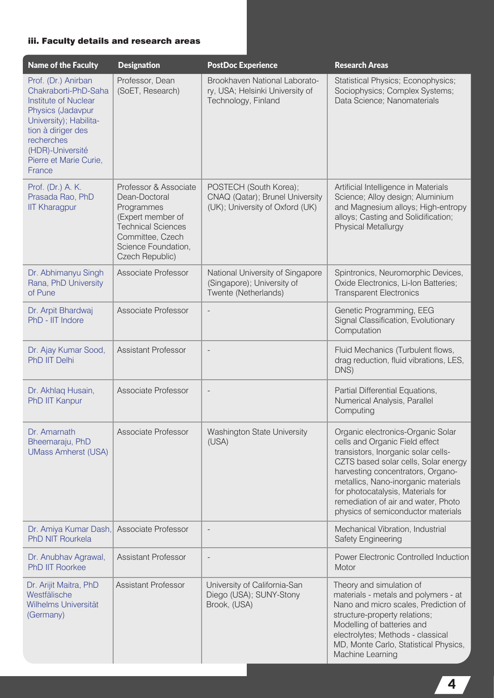#### iii. Faculty details and research areas

| <b>Name of the Faculty</b>                                                                                                                                                                                            | <b>Designation</b>                                                                                                                                                   | <b>PostDoc Experience</b>                                                                    | <b>Research Areas</b>                                                                                                                                                                                                                                                                                                                            |
|-----------------------------------------------------------------------------------------------------------------------------------------------------------------------------------------------------------------------|----------------------------------------------------------------------------------------------------------------------------------------------------------------------|----------------------------------------------------------------------------------------------|--------------------------------------------------------------------------------------------------------------------------------------------------------------------------------------------------------------------------------------------------------------------------------------------------------------------------------------------------|
| Prof. (Dr.) Anirban<br>Chakraborti-PhD-Saha<br><b>Institute of Nuclear</b><br>Physics (Jadavpur<br>University); Habilita-<br>tion à diriger des<br>recherches<br>(HDR)-Université<br>Pierre et Marie Curie,<br>France | Professor, Dean<br>(SoET, Research)                                                                                                                                  | Brookhaven National Laborato-<br>ry, USA; Helsinki University of<br>Technology, Finland      | Statistical Physics; Econophysics;<br>Sociophysics; Complex Systems;<br>Data Science; Nanomaterials                                                                                                                                                                                                                                              |
| Prof. (Dr.) A. K.<br>Prasada Rao, PhD<br><b>IIT Kharagpur</b>                                                                                                                                                         | Professor & Associate<br>Dean-Doctoral<br>Programmes<br>(Expert member of<br><b>Technical Sciences</b><br>Committee, Czech<br>Science Foundation,<br>Czech Republic) | POSTECH (South Korea);<br>CNAQ (Qatar); Brunel University<br>(UK); University of Oxford (UK) | Artificial Intelligence in Materials<br>Science; Alloy design; Aluminium<br>and Magnesium alloys; High-entropy<br>alloys; Casting and Solidification;<br><b>Physical Metallurgy</b>                                                                                                                                                              |
| Dr. Abhimanyu Singh<br>Rana, PhD University<br>of Pune                                                                                                                                                                | Associate Professor                                                                                                                                                  | National University of Singapore<br>(Singapore); University of<br>Twente (Netherlands)       | Spintronics, Neuromorphic Devices,<br>Oxide Electronics, Li-Ion Batteries;<br><b>Transparent Electronics</b>                                                                                                                                                                                                                                     |
| Dr. Arpit Bhardwaj<br>PhD - IIT Indore                                                                                                                                                                                | Associate Professor                                                                                                                                                  |                                                                                              | Genetic Programming, EEG<br>Signal Classification, Evolutionary<br>Computation                                                                                                                                                                                                                                                                   |
| Dr. Ajay Kumar Sood,<br>PhD IIT Delhi                                                                                                                                                                                 | <b>Assistant Professor</b>                                                                                                                                           |                                                                                              | Fluid Mechanics (Turbulent flows,<br>drag reduction, fluid vibrations, LES,<br>DNS)                                                                                                                                                                                                                                                              |
| Dr. Akhlaq Husain,<br><b>PhD IIT Kanpur</b>                                                                                                                                                                           | Associate Professor                                                                                                                                                  |                                                                                              | Partial Differential Equations,<br>Numerical Analysis, Parallel<br>Computing                                                                                                                                                                                                                                                                     |
| Dr. Amarnath<br>Bheemaraju, PhD<br><b>UMass Amherst (USA)</b>                                                                                                                                                         | Associate Professor                                                                                                                                                  | Washington State University<br>(USA)                                                         | Organic electronics-Organic Solar<br>cells and Organic Field effect<br>transistors, Inorganic solar cells-<br>CZTS based solar cells, Solar energy<br>harvesting concentrators, Organo-<br>metallics, Nano-inorganic materials<br>for photocatalysis, Materials for<br>remediation of air and water, Photo<br>physics of semiconductor materials |
| Dr. Amiya Kumar Dash,<br><b>PhD NIT Rourkela</b>                                                                                                                                                                      | Associate Professor                                                                                                                                                  | $\overline{\phantom{a}}$                                                                     | Mechanical Vibration, Industrial<br>Safety Engineering                                                                                                                                                                                                                                                                                           |
| Dr. Anubhav Agrawal,<br><b>PhD IIT Roorkee</b>                                                                                                                                                                        | <b>Assistant Professor</b>                                                                                                                                           | $\qquad \qquad -$                                                                            | Power Electronic Controlled Induction<br>Motor                                                                                                                                                                                                                                                                                                   |
| Dr. Arijit Maitra, PhD<br>Westfälische<br>Wilhelms Universität<br>(Germany)                                                                                                                                           | <b>Assistant Professor</b>                                                                                                                                           | University of California-San<br>Diego (USA); SUNY-Stony<br>Brook, (USA)                      | Theory and simulation of<br>materials - metals and polymers - at<br>Nano and micro scales, Prediction of<br>structure-property relations;<br>Modelling of batteries and<br>electrolytes; Methods - classical<br>MD, Monte Carlo, Statistical Physics,<br>Machine Learning                                                                        |

4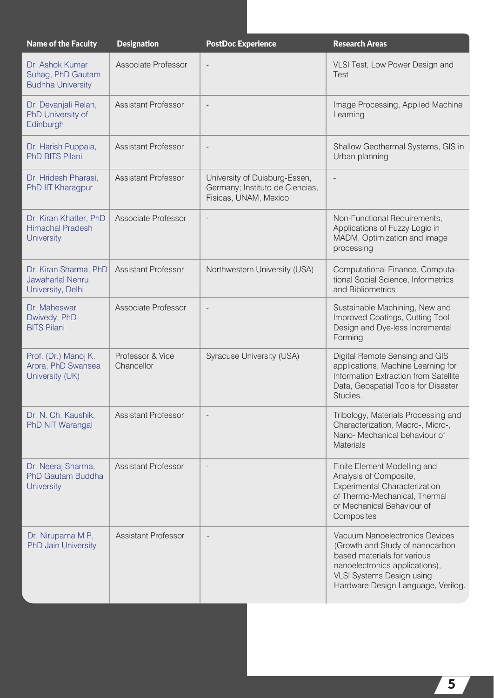| <b>Name of the Faculty</b>                                             | <b>Designation</b>             | <b>PostDoc Experience</b>                                                                 | <b>Research Areas</b>                                                                                                                                                                                        |
|------------------------------------------------------------------------|--------------------------------|-------------------------------------------------------------------------------------------|--------------------------------------------------------------------------------------------------------------------------------------------------------------------------------------------------------------|
| Dr. Ashok Kumar<br>Suhag, PhD Gautam<br><b>Budhha University</b>       | Associate Professor            |                                                                                           | VLSI Test, Low Power Design and<br>Test                                                                                                                                                                      |
| Dr. Devanjali Relan,<br>PhD University of<br>Edinburgh                 | <b>Assistant Professor</b>     | $\overline{a}$                                                                            | Image Processing, Applied Machine<br>Learning                                                                                                                                                                |
| Dr. Harish Puppala,<br><b>PhD BITS Pilani</b>                          | <b>Assistant Professor</b>     | $\overline{\phantom{a}}$                                                                  | Shallow Geothermal Systems, GIS in<br>Urban planning                                                                                                                                                         |
| Dr. Hridesh Pharasi,<br>PhD IIT Kharagpur                              | <b>Assistant Professor</b>     | University of Duisburg-Essen,<br>Germany; Instituto de Ciencias,<br>Fisicas, UNAM, Mexico | $\overline{\phantom{a}}$                                                                                                                                                                                     |
| Dr. Kiran Khatter, PhD<br><b>Himachal Pradesh</b><br><b>University</b> | Associate Professor            | $\overline{\phantom{a}}$                                                                  | Non-Functional Requirements,<br>Applications of Fuzzy Logic in<br>MADM, Optimization and image<br>processing                                                                                                 |
| Dr. Kiran Sharma, PhD<br>Jawaharlal Nehru<br>University, Delhi         | <b>Assistant Professor</b>     | Northwestern University (USA)                                                             | Computational Finance, Computa-<br>tional Social Science, Informetrics<br>and Bibliometrics                                                                                                                  |
| Dr. Maheswar<br>Dwivedy, PhD<br><b>BITS Pilani</b>                     | Associate Professor            | $\overline{\phantom{a}}$                                                                  | Sustainable Machining, New and<br>Improved Coatings, Cutting Tool<br>Design and Dye-less Incremental<br>Forming                                                                                              |
| Prof. (Dr.) Manoj K.<br>Arora, PhD Swansea<br>University (UK)          | Professor & Vice<br>Chancellor | Syracuse University (USA)                                                                 | Digital Remote Sensing and GIS<br>applications, Machine Learning for<br>Information Extraction from Satellite<br>Data, Geospatial Tools for Disaster<br>Studies.                                             |
| Dr. N. Ch. Kaushik,<br>PhD NIT Warangal                                | <b>Assistant Professor</b>     |                                                                                           | Tribology, Materials Processing and<br>Characterization, Macro-, Micro-,<br>Nano- Mechanical behaviour of<br><b>Materials</b>                                                                                |
| Dr. Neeraj Sharma,<br>PhD Gautam Buddha<br><b>University</b>           | <b>Assistant Professor</b>     | $\qquad \qquad -$                                                                         | Finite Element Modelling and<br>Analysis of Composite,<br>Experimental Characterization<br>of Thermo-Mechanical, Thermal<br>or Mechanical Behaviour of<br>Composites                                         |
| Dr. Nirupama M P,<br><b>PhD Jain University</b>                        | <b>Assistant Professor</b>     | $\overline{a}$                                                                            | Vacuum Nanoelectronics Devices<br>(Growth and Study of nanocarbon<br>based materials for various<br>nanoelectronics applications),<br><b>VLSI Systems Design using</b><br>Hardware Design Language, Verilog. |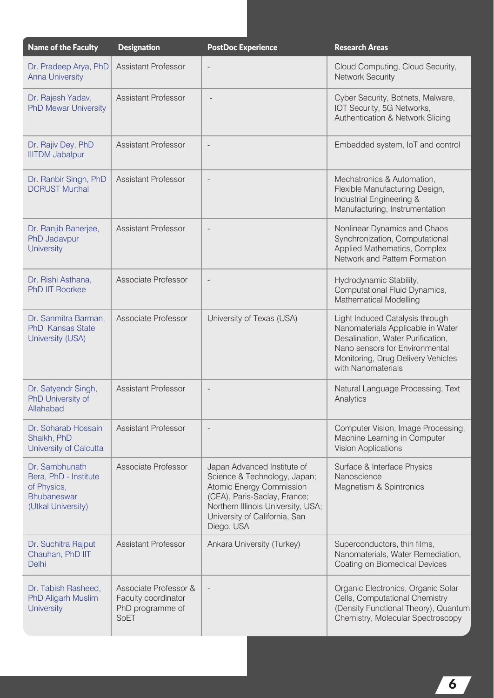| <b>Name of the Faculty</b>                                                                  | <b>Designation</b>                                                       | <b>PostDoc Experience</b>                                                                                                                                                                                    | <b>Research Areas</b>                                                                                                                                                                                   |
|---------------------------------------------------------------------------------------------|--------------------------------------------------------------------------|--------------------------------------------------------------------------------------------------------------------------------------------------------------------------------------------------------------|---------------------------------------------------------------------------------------------------------------------------------------------------------------------------------------------------------|
| Dr. Pradeep Arya, PhD<br><b>Anna University</b>                                             | <b>Assistant Professor</b>                                               | $\overline{\phantom{a}}$                                                                                                                                                                                     | Cloud Computing, Cloud Security,<br><b>Network Security</b>                                                                                                                                             |
| Dr. Rajesh Yadav,<br><b>PhD Mewar University</b>                                            | <b>Assistant Professor</b>                                               |                                                                                                                                                                                                              | Cyber Security, Botnets, Malware,<br>IOT Security, 5G Networks,<br>Authentication & Network Slicing                                                                                                     |
| Dr. Rajiv Dey, PhD<br><b>IIITDM Jabalpur</b>                                                | <b>Assistant Professor</b>                                               |                                                                                                                                                                                                              | Embedded system, IoT and control                                                                                                                                                                        |
| Dr. Ranbir Singh, PhD<br><b>DCRUST Murthal</b>                                              | <b>Assistant Professor</b>                                               | $\overline{\phantom{a}}$                                                                                                                                                                                     | Mechatronics & Automation,<br>Flexible Manufacturing Design,<br>Industrial Engineering &<br>Manufacturing, Instrumentation                                                                              |
| Dr. Ranjib Banerjee,<br>PhD Jadavpur<br><b>University</b>                                   | Assistant Professor                                                      | $\overline{\phantom{a}}$                                                                                                                                                                                     | Nonlinear Dynamics and Chaos<br>Synchronization, Computational<br>Applied Mathematics, Complex<br>Network and Pattern Formation                                                                         |
| Dr. Rishi Asthana,<br><b>PhD IIT Roorkee</b>                                                | Associate Professor                                                      | $\overline{\phantom{a}}$                                                                                                                                                                                     | Hydrodynamic Stability,<br>Computational Fluid Dynamics,<br><b>Mathematical Modelling</b>                                                                                                               |
| Dr. Sanmitra Barman,<br><b>PhD Kansas State</b><br>University (USA)                         | Associate Professor                                                      | University of Texas (USA)                                                                                                                                                                                    | Light Induced Catalysis through<br>Nanomaterials Applicable in Water<br>Desalination, Water Purification,<br>Nano sensors for Environmental<br>Monitoring, Drug Delivery Vehicles<br>with Nanomaterials |
| Dr. Satyendr Singh,<br>PhD University of<br>Allahabad                                       | <b>Assistant Professor</b>                                               | $\overline{\phantom{a}}$                                                                                                                                                                                     | Natural Language Processing, Text<br>Analytics                                                                                                                                                          |
| Dr. Soharab Hossain<br>Shaikh, PhD<br>University of Calcutta                                | <b>Assistant Professor</b>                                               |                                                                                                                                                                                                              | Computer Vision, Image Processing,<br>Machine Learning in Computer<br><b>Vision Applications</b>                                                                                                        |
| Dr. Sambhunath<br>Bera, PhD - Institute<br>of Physics,<br>Bhubaneswar<br>(Utkal University) | Associate Professor                                                      | Japan Advanced Institute of<br>Science & Technology, Japan;<br>Atomic Energy Commission<br>(CEA), Paris-Saclay, France;<br>Northern Illinois University, USA;<br>University of California, San<br>Diego, USA | Surface & Interface Physics<br>Nanoscience<br>Magnetism & Spintronics                                                                                                                                   |
| Dr. Suchitra Rajput<br>Chauhan, PhD IIT<br><b>Delhi</b>                                     | <b>Assistant Professor</b>                                               | Ankara University (Turkey)                                                                                                                                                                                   | Superconductors, thin films,<br>Nanomaterials, Water Remediation,<br>Coating on Biomedical Devices                                                                                                      |
| Dr. Tabish Rasheed,<br><b>PhD Aligarh Muslim</b><br><b>University</b>                       | Associate Professor &<br>Faculty coordinator<br>PhD programme of<br>SoET |                                                                                                                                                                                                              | Organic Electronics, Organic Solar<br>Cells, Computational Chemistry<br>(Density Functional Theory), Quantum<br>Chemistry, Molecular Spectroscopy                                                       |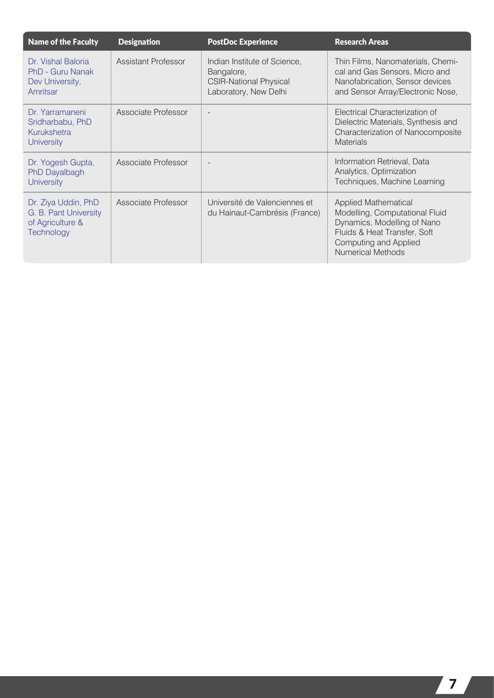| <b>Name of the Faculty</b>                                                     | <b>Designation</b>  | <b>PostDoc Experience</b>                                                                            | <b>Research Areas</b>                                                                                                                                                      |
|--------------------------------------------------------------------------------|---------------------|------------------------------------------------------------------------------------------------------|----------------------------------------------------------------------------------------------------------------------------------------------------------------------------|
| Dr. Vishal Baloria<br>PhD - Guru Nanak<br>Dev University,<br>Amritsar          | Assistant Professor | Indian Institute of Science,<br>Bangalore,<br><b>CSIR-National Physical</b><br>Laboratory, New Delhi | Thin Films, Nanomaterials, Chemi-<br>cal and Gas Sensors, Micro and<br>Nanofabrication, Sensor devices<br>and Sensor Array/Electronic Nose,                                |
| Dr. Yarramaneni<br>Sridharbabu, PhD<br>Kurukshetra<br><b>University</b>        | Associate Professor |                                                                                                      | Electrical Characterization of<br>Dielectric Materials, Synthesis and<br>Characterization of Nanocomposite<br><b>Materials</b>                                             |
| Dr. Yogesh Gupta,<br>PhD Dayalbagh<br><b>University</b>                        | Associate Professor |                                                                                                      | Information Retrieval, Data<br>Analytics, Optimization<br>Techniques, Machine Learning                                                                                     |
| Dr. Ziya Uddin, PhD<br>G. B. Pant University<br>of Agriculture &<br>Technology | Associate Professor | Université de Valenciennes et<br>du Hainaut-Cambrésis (France)                                       | Applied Mathematical<br>Modelling, Computational Fluid<br>Dynamics, Modelling of Nano<br>Fluids & Heat Transfer, Soft<br>Computing and Applied<br><b>Numerical Methods</b> |

7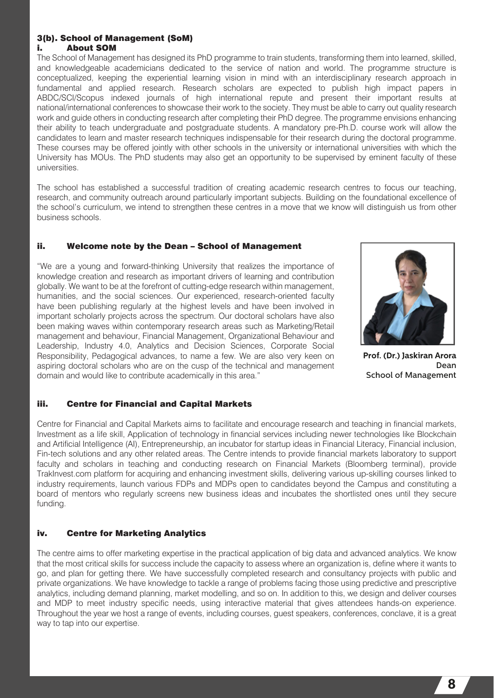#### 3(b). School of Management (SoM) i. About SOM

The School of Management has designed its PhD programme to train students, transforming them into learned, skilled, and knowledgeable academicians dedicated to the service of nation and world. The programme structure is conceptualized, keeping the experiential learning vision in mind with an interdisciplinary research approach in fundamental and applied research. Research scholars are expected to publish high impact papers in ABDC/SCI/Scopus indexed journals of high international repute and present their important results at national/international conferences to showcase their work to the society. They must be able to carry out quality research work and guide others in conducting research after completing their PhD degree. The programme envisions enhancing their ability to teach undergraduate and postgraduate students. A mandatory pre-Ph.D. course work will allow the candidates to learn and master research techniques indispensable for their research during the doctoral programme. These courses may be offered jointly with other schools in the university or international universities with which the University has MOUs. The PhD students may also get an opportunity to be supervised by eminent faculty of these universities.

The school has established a successful tradition of creating academic research centres to focus our teaching, research, and community outreach around particularly important subjects. Building on the foundational excellence of the school's curriculum, we intend to strengthen these centres in a move that we know will distinguish us from other business schools.

#### ii. Welcome note by the Dean – School of Management

"We are a young and forward-thinking University that realizes the importance of knowledge creation and research as important drivers of learning and contribution globally. We want to be at the forefront of cutting-edge research within management, humanities, and the social sciences. Our experienced, research-oriented faculty have been publishing regularly at the highest levels and have been involved in important scholarly projects across the spectrum. Our doctoral scholars have also been making waves within contemporary research areas such as Marketing/Retail management and behaviour, Financial Management, Organizational Behaviour and Leadership, Industry 4.0, Analytics and Decision Sciences, Corporate Social Responsibility, Pedagogical advances, to name a few. We are also very keen on aspiring doctoral scholars who are on the cusp of the technical and management domain and would like to contribute academically in this area."



**Prof. (Dr.) Jaskiran Arora** Dean School of Management

#### iii. Centre for Financial and Capital Markets

Centre for Financial and Capital Markets aims to facilitate and encourage research and teaching in financial markets, Investment as a life skill, Application of technology in financial services including newer technologies like Blockchain and Artificial Intelligence (AI), Entrepreneurship, an incubator for startup ideas in Financial Literacy, Financial inclusion, Fin-tech solutions and any other related areas. The Centre intends to provide financial markets laboratory to support faculty and scholars in teaching and conducting research on Financial Markets (Bloomberg terminal), provide TrakInvest.com platform for acquiring and enhancing investment skills, delivering various up-skilling courses linked to industry requirements, launch various FDPs and MDPs open to candidates beyond the Campus and constituting a board of mentors who regularly screens new business ideas and incubates the shortlisted ones until they secure funding.

#### iv. Centre for Marketing Analytics

The centre aims to offer marketing expertise in the practical application of big data and advanced analytics. We know that the most critical skills for success include the capacity to assess where an organization is, define where it wants to go, and plan for getting there. We have successfully completed research and consultancy projects with public and private organizations. We have knowledge to tackle a range of problems facing those using predictive and prescriptive analytics, including demand planning, market modelling, and so on. In addition to this, we design and deliver courses and MDP to meet industry specific needs, using interactive material that gives attendees hands-on experience. Throughout the year we host a range of events, including courses, guest speakers, conferences, conclave, it is a great way to tap into our expertise.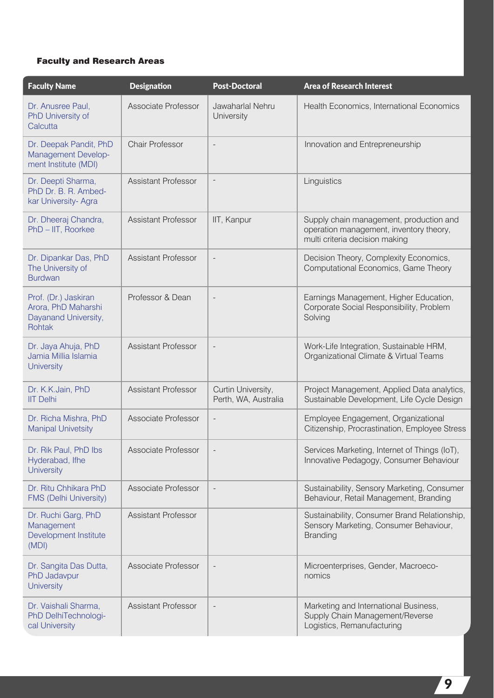#### Faculty and Research Areas

| <b>Faculty Name</b>                                                           | <b>Designation</b>         | <b>Post-Doctoral</b>                       | <b>Area of Research Interest</b>                                                                                     |
|-------------------------------------------------------------------------------|----------------------------|--------------------------------------------|----------------------------------------------------------------------------------------------------------------------|
| Dr. Anusree Paul,<br>PhD University of<br>Calcutta                            | Associate Professor        | Jawaharlal Nehru<br>University             | Health Economics, International Economics                                                                            |
| Dr. Deepak Pandit, PhD<br>Management Develop-<br>ment Institute (MDI)         | <b>Chair Professor</b>     | $\overline{\phantom{a}}$                   | Innovation and Entrepreneurship                                                                                      |
| Dr. Deepti Sharma,<br>PhD Dr. B. R. Ambed-<br>kar University-Agra             | <b>Assistant Professor</b> | $\overline{\phantom{a}}$                   | Linguistics                                                                                                          |
| Dr. Dheeraj Chandra,<br>PhD - IIT, Roorkee                                    | <b>Assistant Professor</b> | IIT, Kanpur                                | Supply chain management, production and<br>operation management, inventory theory,<br>multi criteria decision making |
| Dr. Dipankar Das, PhD<br>The University of<br><b>Burdwan</b>                  | <b>Assistant Professor</b> |                                            | Decision Theory, Complexity Economics,<br>Computational Economics, Game Theory                                       |
| Prof. (Dr.) Jaskiran<br>Arora, PhD Maharshi<br>Dayanand University,<br>Rohtak | Professor & Dean           |                                            | Earnings Management, Higher Education,<br>Corporate Social Responsibility, Problem<br>Solving                        |
| Dr. Jaya Ahuja, PhD<br>Jamia Millia Islamia<br><b>University</b>              | <b>Assistant Professor</b> |                                            | Work-Life Integration, Sustainable HRM,<br>Organizational Climate & Virtual Teams                                    |
| Dr. K.K.Jain, PhD<br><b>IIT Delhi</b>                                         | <b>Assistant Professor</b> | Curtin University,<br>Perth, WA, Australia | Project Management, Applied Data analytics,<br>Sustainable Development, Life Cycle Design                            |
| Dr. Richa Mishra, PhD<br><b>Manipal Univetsity</b>                            | Associate Professor        | $\overline{\phantom{a}}$                   | Employee Engagement, Organizational<br>Citizenship, Procrastination, Employee Stress                                 |
| Dr. Rik Paul, PhD Ibs<br>Hyderabad, Ifhe<br><b>University</b>                 | Associate Professor        |                                            | Services Marketing, Internet of Things (IoT),<br>Innovative Pedagogy, Consumer Behaviour                             |
| Dr. Ritu Chhikara PhD<br><b>FMS (Delhi University)</b>                        | Associate Professor        |                                            | Sustainability, Sensory Marketing, Consumer<br>Behaviour, Retail Management, Branding                                |
| Dr. Ruchi Garg, PhD<br>Management<br>Development Institute<br>(MDI)           | <b>Assistant Professor</b> |                                            | Sustainability, Consumer Brand Relationship,<br>Sensory Marketing, Consumer Behaviour,<br><b>Branding</b>            |
| Dr. Sangita Das Dutta,<br>PhD Jadavpur<br><b>University</b>                   | Associate Professor        |                                            | Microenterprises, Gender, Macroeco-<br>nomics                                                                        |
| Dr. Vaishali Sharma,<br>PhD DelhiTechnologi-<br>cal University                | <b>Assistant Professor</b> |                                            | Marketing and International Business,<br>Supply Chain Management/Reverse<br>Logistics, Remanufacturing               |

 $\overline{\mathbf{z}}$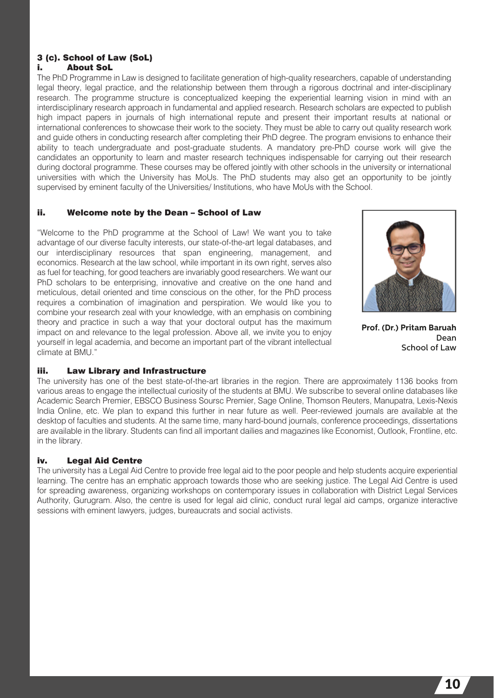#### 3 (c). School of Law (SoL) i. About SoL

The PhD Programme in Law is designed to facilitate generation of high-quality researchers, capable of understanding legal theory, legal practice, and the relationship between them through a rigorous doctrinal and inter-disciplinary research. The programme structure is conceptualized keeping the experiential learning vision in mind with an interdisciplinary research approach in fundamental and applied research. Research scholars are expected to publish high impact papers in journals of high international repute and present their important results at national or international conferences to showcase their work to the society. They must be able to carry out quality research work and guide others in conducting research after completing their PhD degree. The program envisions to enhance their ability to teach undergraduate and post-graduate students. A mandatory pre-PhD course work will give the candidates an opportunity to learn and master research techniques indispensable for carrying out their research during doctoral programme. These courses may be offered jointly with other schools in the university or international universities with which the University has MoUs. The PhD students may also get an opportunity to be jointly supervised by eminent faculty of the Universities/ Institutions, who have MoUs with the School.

#### ii. Welcome note by the Dean – School of Law

"Welcome to the PhD programme at the School of Law! We want you to take advantage of our diverse faculty interests, our state-of-the-art legal databases, and our interdisciplinary resources that span engineering, management, and economics. Research at the law school, while important in its own right, serves also as fuel for teaching, for good teachers are invariably good researchers. We want our PhD scholars to be enterprising, innovative and creative on the one hand and meticulous, detail oriented and time conscious on the other, for the PhD process requires a combination of imagination and perspiration. We would like you to combine your research zeal with your knowledge, with an emphasis on combining theory and practice in such a way that your doctoral output has the maximum impact on and relevance to the legal profession. Above all, we invite you to enjoy yourself in legal academia, and become an important part of the vibrant intellectual climate at BMU."



**Prof. (Dr.) Pritam Baruah** Dean School of Law

#### iii. Law Library and Infrastructure

The university has one of the best state-of-the-art libraries in the region. There are approximately 1136 books from various areas to engage the intellectual curiosity of the students at BMU. We subscribe to several online databases like Academic Search Premier, EBSCO Business Soursc Premier, Sage Online, Thomson Reuters, Manupatra, Lexis-Nexis India Online, etc. We plan to expand this further in near future as well. Peer-reviewed journals are available at the desktop of faculties and students. At the same time, many hard-bound journals, conference proceedings, dissertations are available in the library. Students can find all important dailies and magazines like Economist, Outlook, Frontline, etc. in the library.

#### iv. Legal Aid Centre

The university has a Legal Aid Centre to provide free legal aid to the poor people and help students acquire experiential learning. The centre has an emphatic approach towards those who are seeking justice. The Legal Aid Centre is used for spreading awareness, organizing workshops on contemporary issues in collaboration with District Legal Services Authority, Gurugram. Also, the centre is used for legal aid clinic, conduct rural legal aid camps, organize interactive sessions with eminent lawyers, judges, bureaucrats and social activists.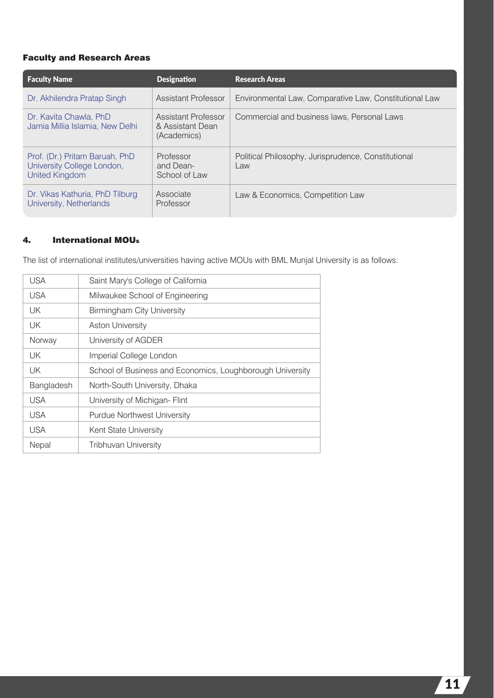#### Faculty and Research Areas

| <b>Faculty Name</b>                                                                   | <b>Designation</b>                                     | <b>Research Areas</b>                                      |
|---------------------------------------------------------------------------------------|--------------------------------------------------------|------------------------------------------------------------|
| Dr. Akhilendra Pratap Singh                                                           | <b>Assistant Professor</b>                             | Environmental Law, Comparative Law, Constitutional Law     |
| Dr. Kavita Chawla, PhD<br>Jamia Millia Islamia, New Delhi                             | Assistant Professor<br>& Assistant Dean<br>(Academics) | Commercial and business laws, Personal Laws                |
| Prof. (Dr.) Pritam Baruah, PhD<br>University College London,<br><b>United Kingdom</b> | Professor<br>and Dean-<br>School of Law                | Political Philosophy, Jurisprudence, Constitutional<br>Law |
| Dr. Vikas Kathuria, PhD Tilburg<br>University, Netherlands                            | Associate<br>Professor                                 | Law & Economics, Competition Law                           |

#### 4. International MOUs

The list of international institutes/universities having active MOUs with BML Munjal University is as follows:

| USA        | Saint Mary's College of California                        |
|------------|-----------------------------------------------------------|
| <b>USA</b> | Milwaukee School of Engineering                           |
| UK         | <b>Birmingham City University</b>                         |
| UK.        | <b>Aston University</b>                                   |
| Norway     | University of AGDER                                       |
| UK         | Imperial College London                                   |
| UK.        | School of Business and Economics, Loughborough University |
| Bangladesh | North-South University, Dhaka                             |
| <b>USA</b> | University of Michigan- Flint                             |
| <b>USA</b> | <b>Purdue Northwest University</b>                        |
| <b>USA</b> | Kent State University                                     |
| Nepal      | <b>Tribhuvan University</b>                               |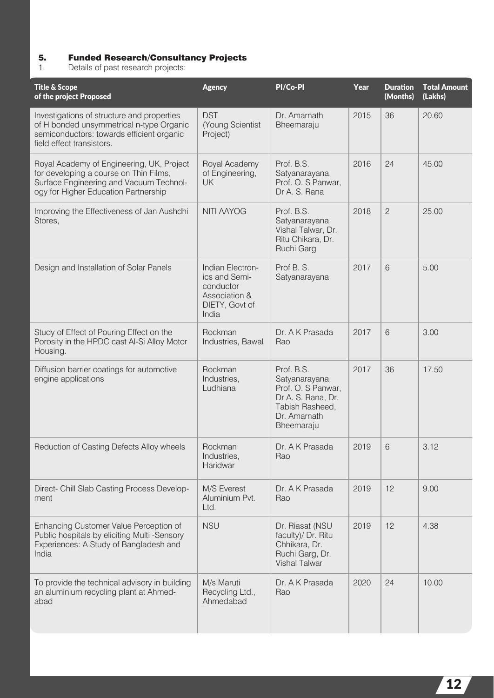#### 5. Funded Research/Consultancy Projects

1. Details of past research projects:

| <b>Title &amp; Scope</b><br>of the project Proposed                                                                                                                    | <b>Agency</b>                                                                              | PI/Co-PI                                                                                                                  | Year | <b>Duration</b><br>(Months) | <b>Total Amount</b><br>(Lakhs) |
|------------------------------------------------------------------------------------------------------------------------------------------------------------------------|--------------------------------------------------------------------------------------------|---------------------------------------------------------------------------------------------------------------------------|------|-----------------------------|--------------------------------|
| Investigations of structure and properties<br>of H bonded unsymmetrical n-type Organic<br>semiconductors: towards efficient organic<br>field effect transistors.       | <b>DST</b><br>(Young Scientist<br>Project)                                                 | Dr. Amarnath<br>Bheemaraju                                                                                                | 2015 | 36                          | 20.60                          |
| Royal Academy of Engineering, UK, Project<br>for developing a course on Thin Films,<br>Surface Engineering and Vacuum Technol-<br>ogy for Higher Education Partnership | Royal Academy<br>of Engineering,<br><b>UK</b>                                              | Prof. B.S.<br>Satyanarayana,<br>Prof. O. S Panwar,<br>Dr A. S. Rana                                                       | 2016 | 24                          | 45.00                          |
| Improving the Effectiveness of Jan Aushdhi<br>Stores,                                                                                                                  | <b>NITI AAYOG</b>                                                                          | Prof. B.S.<br>Satyanarayana,<br>Vishal Talwar, Dr.<br>Ritu Chikara, Dr.<br>Ruchi Garg                                     | 2018 | $\mathbf{2}$                | 25.00                          |
| Design and Installation of Solar Panels                                                                                                                                | Indian Electron-<br>ics and Semi-<br>conductor<br>Association &<br>DIETY, Govt of<br>India | Prof B. S.<br>Satyanarayana                                                                                               | 2017 | 6                           | 5.00                           |
| Study of Effect of Pouring Effect on the<br>Porosity in the HPDC cast Al-Si Alloy Motor<br>Housing.                                                                    | Rockman<br>Industries, Bawal                                                               | Dr. A K Prasada<br>Rao                                                                                                    | 2017 | 6                           | 3.00                           |
| Diffusion barrier coatings for automotive<br>engine applications                                                                                                       | Rockman<br>Industries,<br>Ludhiana                                                         | Prof. B.S.<br>Satyanarayana,<br>Prof. O. S Panwar,<br>Dr A. S. Rana, Dr.<br>Tabish Rasheed,<br>Dr. Amarnath<br>Bheemaraju | 2017 | 36                          | 17.50                          |
| Reduction of Casting Defects Alloy wheels                                                                                                                              | Rockman<br>Industries,<br>Haridwar                                                         | Dr. A K Prasada<br>Rao                                                                                                    | 2019 | 6                           | 3.12                           |
| Direct- Chill Slab Casting Process Develop-<br>ment                                                                                                                    | M/S Everest<br>Aluminium Pvt.<br>Ltd.                                                      | Dr. A K Prasada<br>Rao                                                                                                    | 2019 | 12                          | 9.00                           |
| Enhancing Customer Value Perception of<br>Public hospitals by eliciting Multi -Sensory<br>Experiences: A Study of Bangladesh and<br>India                              | <b>NSU</b>                                                                                 | Dr. Riasat (NSU<br>faculty)/ Dr. Ritu<br>Chhikara, Dr.<br>Ruchi Garg, Dr.<br><b>Vishal Talwar</b>                         | 2019 | 12                          | 4.38                           |
| To provide the technical advisory in building<br>an aluminium recycling plant at Ahmed-<br>abad                                                                        | M/s Maruti<br>Recycling Ltd.,<br>Ahmedabad                                                 | Dr. A K Prasada<br>Rao                                                                                                    | 2020 | 24                          | 10.00                          |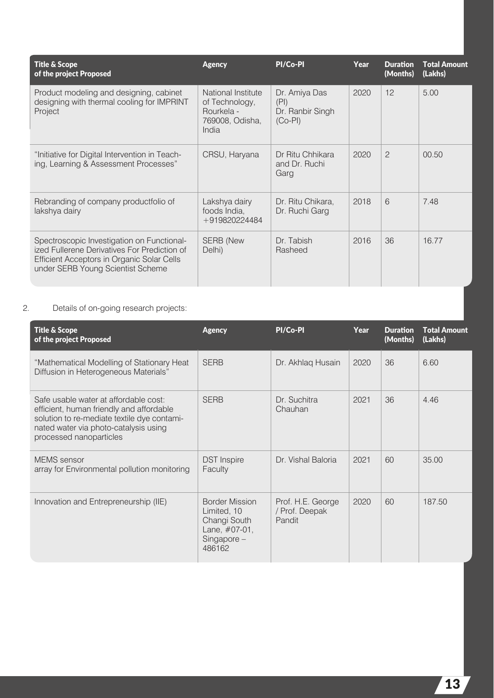| <b>Title &amp; Scope</b><br>of the project Proposed                                                                                                                           | <b>Agency</b>                                                                  | PI/Co-PI                                               | Year | <b>Duration</b><br>(Months) | <b>Total Amount</b><br>(Lakhs) |
|-------------------------------------------------------------------------------------------------------------------------------------------------------------------------------|--------------------------------------------------------------------------------|--------------------------------------------------------|------|-----------------------------|--------------------------------|
| Product modeling and designing, cabinet<br>designing with thermal cooling for IMPRINT<br>Project                                                                              | National Institute<br>of Technology,<br>Rourkela -<br>769008, Odisha,<br>India | Dr. Amiya Das<br>(PI)<br>Dr. Ranbir Singh<br>$(Co-PI)$ | 2020 | 12                          | 5.00                           |
| "Initiative for Digital Intervention in Teach-<br>ing, Learning & Assessment Processes"                                                                                       | CRSU, Haryana                                                                  | Dr Ritu Chhikara<br>and Dr. Ruchi<br>Garg              | 2020 | $\overline{c}$              | 00.50                          |
| Rebranding of company productfolio of<br>lakshya dairy                                                                                                                        | Lakshya dairy<br>foods India,<br>+919820224484                                 | Dr. Ritu Chikara,<br>Dr. Ruchi Garg                    | 2018 | 6                           | 7.48                           |
| Spectroscopic Investigation on Functional-<br>ized Fullerene Derivatives For Prediction of<br>Efficient Acceptors in Organic Solar Cells<br>under SERB Young Scientist Scheme | <b>SERB</b> (New<br>Delhi)                                                     | Dr. Tabish<br>Rasheed                                  | 2016 | 36                          | 16.77                          |

#### 2. Details of on-going research projects:

| <b>Title &amp; Scope</b><br>of the project Proposed                                                                                                                                                  | <b>Agency</b>                                                                                   | PI/Co-PI                                      | Year | <b>Duration</b><br>(Months) | <b>Total Amount</b><br>(Lakhs) |
|------------------------------------------------------------------------------------------------------------------------------------------------------------------------------------------------------|-------------------------------------------------------------------------------------------------|-----------------------------------------------|------|-----------------------------|--------------------------------|
| "Mathematical Modelling of Stationary Heat<br>Diffusion in Heterogeneous Materials"                                                                                                                  | <b>SERB</b>                                                                                     | Dr. Akhlaq Husain                             | 2020 | 36                          | 6.60                           |
| Safe usable water at affordable cost:<br>efficient, human friendly and affordable<br>solution to re-mediate textile dye contami-<br>nated water via photo-catalysis using<br>processed nanoparticles | <b>SERB</b>                                                                                     | Dr. Suchitra<br>Chauhan                       | 2021 | 36                          | 4.46                           |
| <b>MEMS</b> sensor<br>array for Environmental pollution monitoring                                                                                                                                   | <b>DST</b> Inspire<br>Faculty                                                                   | Dr. Vishal Baloria                            | 2021 | 60                          | 35.00                          |
| Innovation and Entrepreneurship (IIE)                                                                                                                                                                | <b>Border Mission</b><br>Limited, 10<br>Changi South<br>Lane, #07-01,<br>$Singapore-$<br>486162 | Prof. H.E. George<br>/ Prof. Deepak<br>Pandit | 2020 | 60                          | 187.50                         |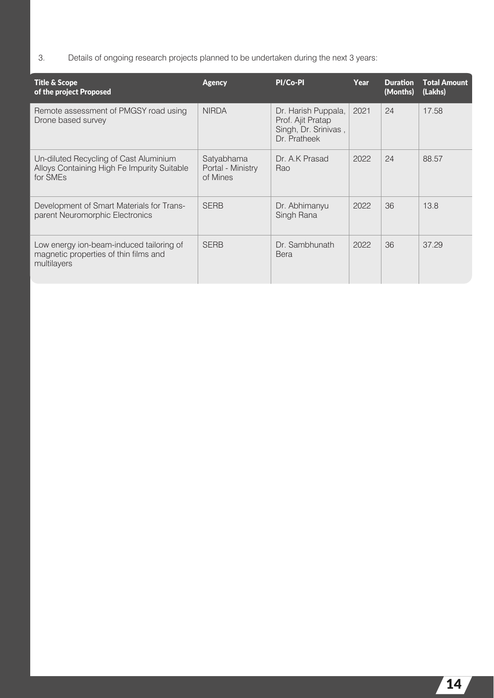3. Details of ongoing research projects planned to be undertaken during the next 3 years:

| <b>Title &amp; Scope</b><br>of the project Proposed                                                           | <b>Agency</b>                               | PI/Co-PI                                                                         | Year | <b>Duration</b><br>(Months) | <b>Total Amount</b><br>(Lakhs) |
|---------------------------------------------------------------------------------------------------------------|---------------------------------------------|----------------------------------------------------------------------------------|------|-----------------------------|--------------------------------|
| Remote assessment of PMGSY road using<br>Drone based survey                                                   | <b>NIRDA</b>                                | Dr. Harish Puppala,<br>Prof. Ajit Pratap<br>Singh, Dr. Srinivas,<br>Dr. Pratheek | 2021 | 24                          | 17.58                          |
| Un-diluted Recycling of Cast Aluminium<br>Alloys Containing High Fe Impurity Suitable<br>for SME <sub>s</sub> | Satyabhama<br>Portal - Ministry<br>of Mines | Dr. A.K Prasad<br>Rao                                                            | 2022 | 24                          | 88.57                          |
| Development of Smart Materials for Trans-<br>parent Neuromorphic Electronics                                  | <b>SERB</b>                                 | Dr. Abhimanyu<br>Singh Rana                                                      | 2022 | 36                          | 13.8                           |
| Low energy ion-beam-induced tailoring of<br>magnetic properties of thin films and<br>multilayers              | <b>SERB</b>                                 | Dr. Sambhunath<br><b>Bera</b>                                                    | 2022 | 36                          | 37.29                          |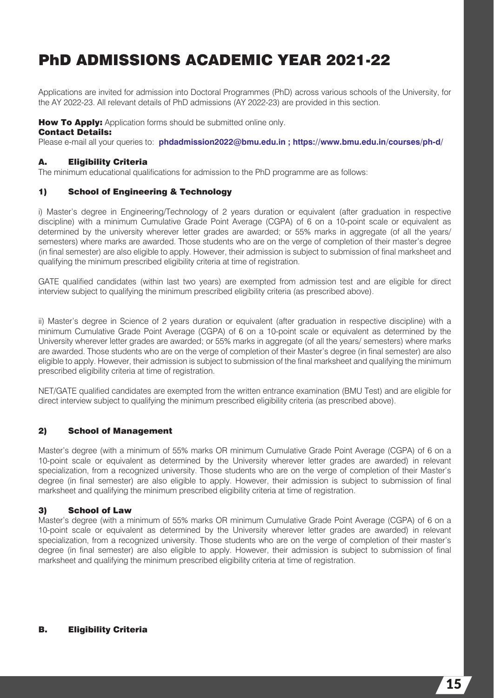### PhD ADMISSIONS ACADEMIC YEAR 2021-22

Applications are invited for admission into Doctoral Programmes (PhD) across various schools of the University, for the AY 2022-23. All relevant details of PhD admissions (AY 2022-23) are provided in this section.

#### How To Apply: Application forms should be submitted online only.

#### Contact Details:

Please e-mail all your queries to: **phdadmission2022@bmu.edu.in ; https://www.bmu.edu.in/courses/ph-d/**

#### A. Eligibility Criteria

The minimum educational qualifications for admission to the PhD programme are as follows:

#### 1) School of Engineering & Technology

i) Master's degree in Engineering/Technology of 2 years duration or equivalent (after graduation in respective discipline) with a minimum Cumulative Grade Point Average (CGPA) of 6 on a 10-point scale or equivalent as determined by the university wherever letter grades are awarded; or 55% marks in aggregate (of all the years/ semesters) where marks are awarded. Those students who are on the verge of completion of their master's degree (in final semester) are also eligible to apply. However, their admission is subject to submission of final marksheet and qualifying the minimum prescribed eligibility criteria at time of registration.

GATE qualified candidates (within last two years) are exempted from admission test and are eligible for direct interview subject to qualifying the minimum prescribed eligibility criteria (as prescribed above).

ii) Master's degree in Science of 2 years duration or equivalent (after graduation in respective discipline) with a minimum Cumulative Grade Point Average (CGPA) of 6 on a 10-point scale or equivalent as determined by the University wherever letter grades are awarded; or 55% marks in aggregate (of all the years/ semesters) where marks are awarded. Those students who are on the verge of completion of their Master's degree (in final semester) are also eligible to apply. However, their admission is subject to submission of the final marksheet and qualifying the minimum prescribed eligibility criteria at time of registration.

NET/GATE qualified candidates are exempted from the written entrance examination (BMU Test) and are eligible for direct interview subject to qualifying the minimum prescribed eligibility criteria (as prescribed above).

#### 2) School of Management

Master's degree (with a minimum of 55% marks OR minimum Cumulative Grade Point Average (CGPA) of 6 on a 10-point scale or equivalent as determined by the University wherever letter grades are awarded) in relevant specialization, from a recognized university. Those students who are on the verge of completion of their Master's degree (in final semester) are also eligible to apply. However, their admission is subject to submission of final marksheet and qualifying the minimum prescribed eligibility criteria at time of registration.

#### 3) School of Law

Master's degree (with a minimum of 55% marks OR minimum Cumulative Grade Point Average (CGPA) of 6 on a 10-point scale or equivalent as determined by the University wherever letter grades are awarded) in relevant specialization, from a recognized university. Those students who are on the verge of completion of their master's degree (in final semester) are also eligible to apply. However, their admission is subject to submission of final marksheet and qualifying the minimum prescribed eligibility criteria at time of registration.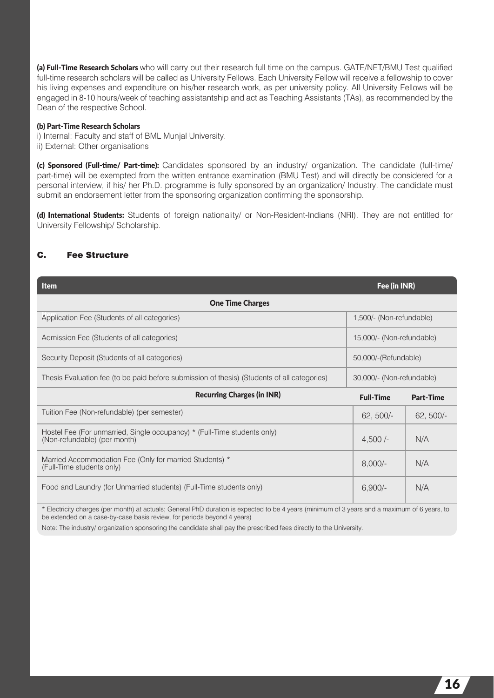(a) Full-Time Research Scholars who will carry out their research full time on the campus. GATE/NET/BMU Test qualified full-time research scholars will be called as University Fellows. Each University Fellow will receive a fellowship to cover his living expenses and expenditure on his/her research work, as per university policy. All University Fellows will be engaged in 8-10 hours/week of teaching assistantship and act as Teaching Assistants (TAs), as recommended by the Dean of the respective School.

#### (b) Part-Time Research Scholars

i) Internal: Faculty and staff of BML Munjal University. ii) External: Other organisations

(c) Sponsored (Full-time/ Part-time): Candidates sponsored by an industry/ organization. The candidate (full-time/ part-time) will be exempted from the written entrance examination (BMU Test) and will directly be considered for a personal interview, if his/ her Ph.D. programme is fully sponsored by an organization/ Industry. The candidate must submit an endorsement letter from the sponsoring organization confirming the sponsorship.

(d) International Students: Students of foreign nationality/ or Non-Resident-Indians (NRI). They are not entitled for University Fellowship/ Scholarship.

#### C. Fee Structure

| <b>Item</b>                                                                                              | Fee (in INR)              |                  |  |  |  |  |  |  |
|----------------------------------------------------------------------------------------------------------|---------------------------|------------------|--|--|--|--|--|--|
| <b>One Time Charges</b>                                                                                  |                           |                  |  |  |  |  |  |  |
| Application Fee (Students of all categories)                                                             | 1,500/- (Non-refundable)  |                  |  |  |  |  |  |  |
| Admission Fee (Students of all categories)                                                               | 15,000/- (Non-refundable) |                  |  |  |  |  |  |  |
| Security Deposit (Students of all categories)                                                            | 50,000/-(Refundable)      |                  |  |  |  |  |  |  |
| Thesis Evaluation fee (to be paid before submission of thesis) (Students of all categories)              | 30,000/- (Non-refundable) |                  |  |  |  |  |  |  |
| <b>Recurring Charges (in INR)</b>                                                                        | <b>Full-Time</b>          | <b>Part-Time</b> |  |  |  |  |  |  |
| Tuition Fee (Non-refundable) (per semester)                                                              | $62, 500/-$               | $62, 500/-$      |  |  |  |  |  |  |
| Hostel Fee (For unmarried, Single occupancy) * (Full-Time students only)<br>(Non-refundable) (per month) | $4,500/-$                 | N/A              |  |  |  |  |  |  |
| Married Accommodation Fee (Only for married Students) *<br>(Full-Time students only)                     | $8,000/-$                 | N/A              |  |  |  |  |  |  |
| Food and Laundry (for Unmarried students) (Full-Time students only)                                      | $6,900/-$                 | N/A              |  |  |  |  |  |  |

\* Electricity charges (per month) at actuals; General PhD duration is expected to be 4 years (minimum of 3 years and a maximum of 6 years, to be extended on a case-by-case basis review, for periods beyond 4 years)

Note: The industry/ organization sponsoring the candidate shall pay the prescribed fees directly to the University.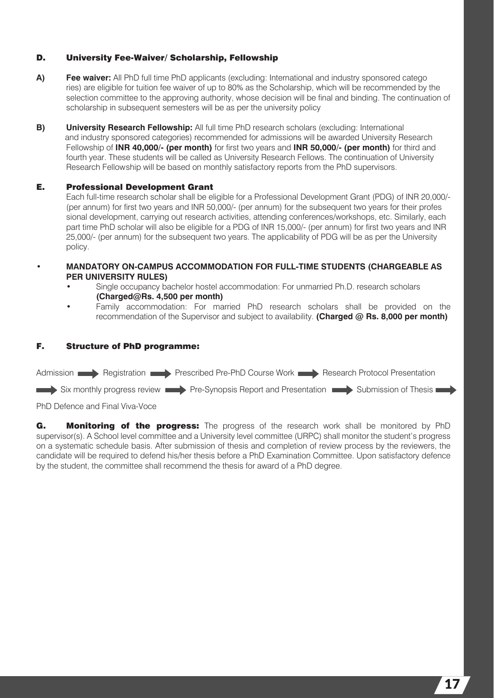#### D. University Fee-Waiver/ Scholarship, Fellowship

- **A) Fee waiver:** All PhD full time PhD applicants (excluding: International and industry sponsored catego ries) are eligible for tuition fee waiver of up to 80% as the Scholarship, which will be recommended by the selection committee to the approving authority, whose decision will be final and binding. The continuation of scholarship in subsequent semesters will be as per the university policy
- **B) University Research Fellowship:** All full time PhD research scholars (excluding: International and industry sponsored categories) recommended for admissions will be awarded University Research Fellowship of **INR 40,000/- (per month)** for first two years and **INR 50,000/- (per month)** for third and fourth year. These students will be called as University Research Fellows. The continuation of University Research Fellow ship will be based on monthly satisfactory reports from the PhD supervisors.

#### E. Professional Development Grant

 Each full-time research scholar shall be eligible for a Professional Development Grant (PDG) of INR 20,000/- (per annum) for first two years and INR 50,000/- (per annum) for the subsequent two years for their profes sional development, carrying out research activities, attending conferences/workshops, etc. Similarly, each part time PhD scholar will also be eligible for a PDG of INR 15,000/- (per annum) for first two years and INR 25,000/- (per annum) for the subsequent two years. The applicability of PDG will be as per the University policy.

- **MANDATORY ON-CAMPUS ACCOMMODATION FOR FULL-TIME STUDENTS (CHARGEABLE AS PER UNIVERSITY RULES)**
	- Single occupancy bachelor hostel accommodation: For unmarried Ph.D. research scholars **(Charged@Rs. 4,500 per month)**
	- Family accommodation: For married PhD research scholars shall be provided on the recommendation of the Supervisor and subject to availability. **(Charged @ Rs. 8,000 per month)**

#### F. Structure of PhD programme:



PhD Defence and Final Viva-Voce

G. Monitoring of the progress: The progress of the research work shall be monitored by PhD supervisor(s). A School level committee and a University level committee (URPC) shall monitor the student's progress on a systematic schedule basis. After submission of thesis and completion of review process by the reviewers, the candidate will be required to defend his/her thesis before a PhD Examination Committee. Upon satisfactory defence by the student, the committee shall recommend the thesis for award of a PhD degree.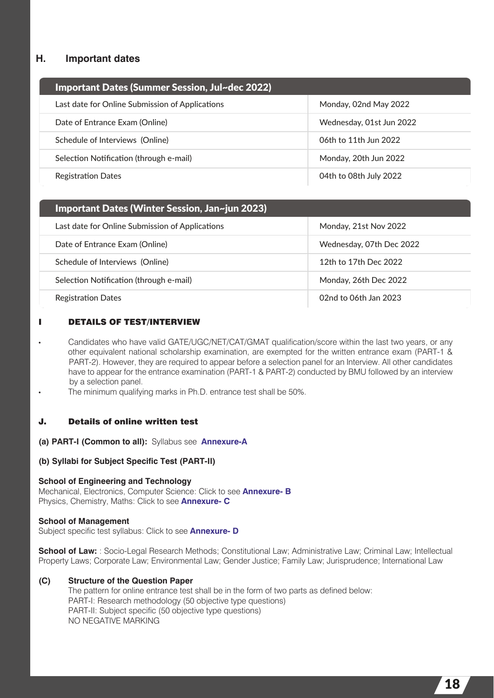#### **H. Important dates**

| Important Dates (Summer Session, Jul~dec 2022)  |                          |
|-------------------------------------------------|--------------------------|
| Last date for Online Submission of Applications | Monday, 02nd May 2022    |
| Date of Entrance Exam (Online)                  | Wednesday, 01st Jun 2022 |
| Schedule of Interviews (Online)                 | 06th to 11th Jun 2022    |
| Selection Notification (through e-mail)         | Monday, 20th Jun 2022    |
| <b>Registration Dates</b>                       | 04th to 08th July 2022   |

| Important Dates (Winter Session, Jan~jun 2023)  |                          |
|-------------------------------------------------|--------------------------|
| Last date for Online Submission of Applications | Monday, 21st Nov 2022    |
| Date of Entrance Exam (Online)                  | Wednesday, 07th Dec 2022 |
| Schedule of Interviews (Online)                 | 12th to 17th Dec 2022    |
| Selection Notification (through e-mail)         | Monday, 26th Dec 2022    |
| <b>Registration Dates</b>                       | 02nd to 06th Jan 2023    |

#### I DETAILS OF TEST/INTERVIEW

- Candidates who have valid GATE/UGC/NET/CAT/GMAT qualification/score within the last two years, or any other equivalent national scholarship examination, are exempted for the written entrance exam (PART-1 & PART-2). However, they are required to appear before a selection panel for an Interview. All other candidates have to appear for the entrance examination (PART-1 & PART-2) conducted by BMU followed by an interview by a selection panel.
- The minimum qualifying marks in Ph.D. entrance test shall be 50%.

#### J. Details of online written test

- (a) PART-I (Common to all): Syllabus see Annexure-A
- **(b) Syllabi for Subject Specific Test (PART-II)**

#### **School of Engineering and Technology**

Mechanical, Electronics, Computer Science: Click to see Annexure- B Physics, Chemistry, Maths: Click to see **Annexure- C** 

#### **School of Management**

Subject specific test syllabus: Click to see **Annexure-D** 

**School of Law:** : Socio-Legal Research Methods; Constitutional Law; Administrative Law; Criminal Law; Intellectual Property Laws; Corporate Law; Environmental Law; Gender Justice; Family Law; Jurisprudence; International Law

#### **(C) Structure of the Question Paper**

 The pattern for online entrance test shall be in the form of two parts as defined below: PART-I: Research methodology (50 objective type questions) PART-II: Subject specific (50 objective type questions) NO NEGATIVE MARKING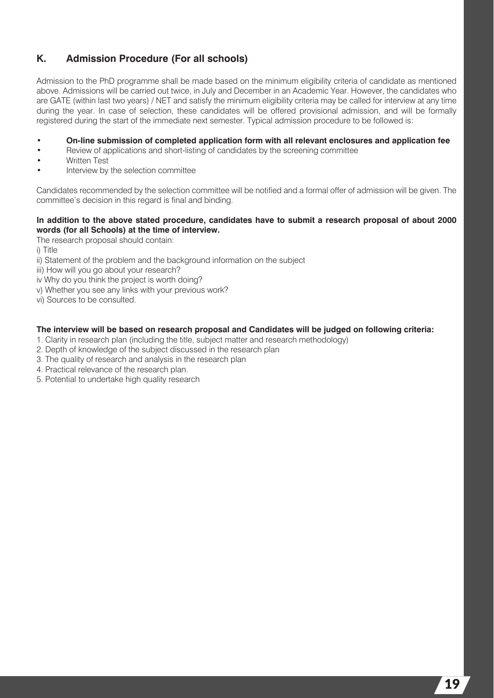#### **K. Admission Procedure (For all schools)**

Admission to the PhD programme shall be made based on the minimum eligibility criteria of candidate as mentioned above. Admissions will be carried out twice, in July and December in an Academic Year. However, the candidates who are GATE (within last two years) / NET and satisfy the minimum eligibility criteria may be called for interview at any time during the year. In case of selection, these candidates will be offered provisional admission, and will be formally registered during the start of the immediate next semester. Typical admission procedure to be followed is:

- **On-line submission of completed application form with all relevant enclosures and application fee**
- Review of applications and short-listing of candidates by the screening committee
- Written Test
- Interview by the selection committee

Candidates recommended by the selection committee will be notified and a formal offer of admission will be given. The committee's decision in this regard is final and binding.

#### **In addition to the above stated procedure, candidates have to submit a research proposal of about 2000 words (for all Schools) at the time of interview.**

The research proposal should contain:

i) Title

ii) Statement of the problem and the background information on the subject

iii) How will you go about your research?

- iv Why do you think the project is worth doing?
- v) Whether you see any links with your previous work?

vi) Sources to be consulted.

#### **The interview will be based on research proposal and Candidates will be judged on following criteria:**

- 1. Clarity in research plan (including the title, subject matter and research methodology)
- 2. Depth of knowledge of the subject discussed in the research plan
- 3. The quality of research and analysis in the research plan
- 4. Practical relevance of the research plan.
- 5. Potential to undertake high quality research